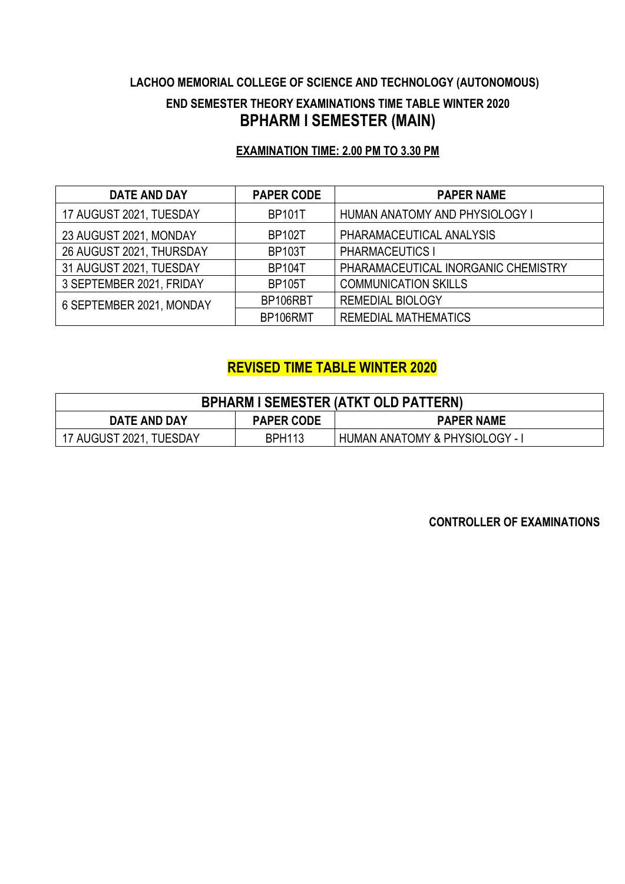## **LACHOO MEMORIAL COLLEGE OF SCIENCE AND TECHNOLOGY (AUTONOMOUS) END SEMESTER THEORY EXAMINATIONS TIME TABLE WINTER 2020 BPHARM I SEMESTER (MAIN)**

### **EXAMINATION TIME: 2.00 PM TO 3.30 PM**

| <b>DATE AND DAY</b>      | <b>PAPER CODE</b> | <b>PAPER NAME</b>                   |
|--------------------------|-------------------|-------------------------------------|
| 17 AUGUST 2021, TUESDAY  | <b>BP101T</b>     | HUMAN ANATOMY AND PHYSIOLOGY I      |
| 23 AUGUST 2021, MONDAY   | <b>BP102T</b>     | PHARAMACEUTICAL ANALYSIS            |
| 26 AUGUST 2021, THURSDAY | <b>BP103T</b>     | <b>PHARMACEUTICS I</b>              |
| 31 AUGUST 2021, TUESDAY  | <b>BP104T</b>     | PHARAMACEUTICAL INORGANIC CHEMISTRY |
| 3 SEPTEMBER 2021, FRIDAY | <b>BP105T</b>     | <b>COMMUNICATION SKILLS</b>         |
| 6 SEPTEMBER 2021, MONDAY | BP106RBT          | <b>REMEDIAL BIOLOGY</b>             |
|                          | BP106RMT          | <b>REMEDIAL MATHEMATICS</b>         |

### **REVISED TIME TABLE WINTER 2020**

| <b>BPHARM I SEMESTER (ATKT OLD PATTERN)</b>                   |               |                              |  |
|---------------------------------------------------------------|---------------|------------------------------|--|
| <b>DATE AND DAY</b><br><b>PAPER CODE</b><br><b>PAPER NAME</b> |               |                              |  |
| 17 AUGUST 2021, TUESDAY                                       | <b>BPH113</b> | HUMAN ANATOMY & PHYSIOLOGY - |  |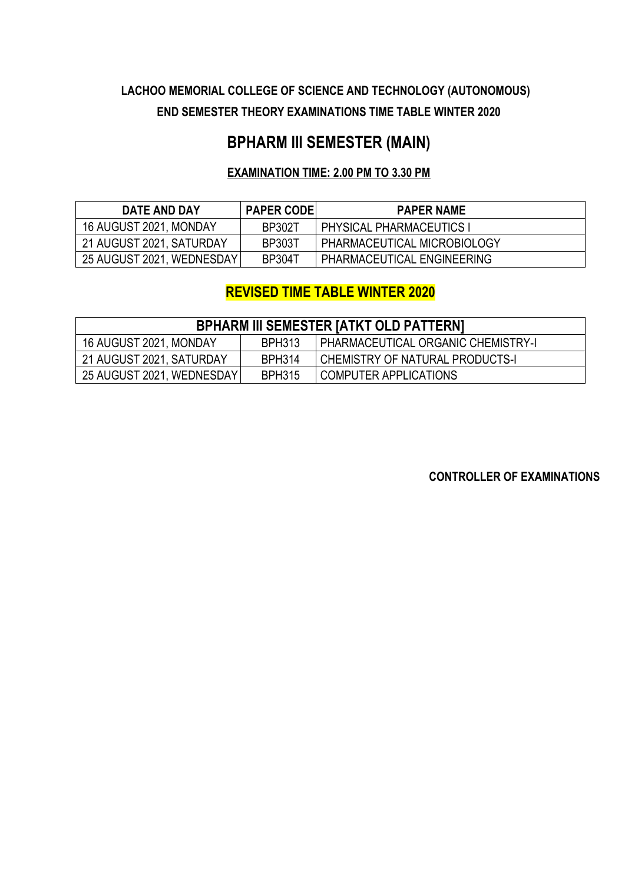## **LACHOO MEMORIAL COLLEGE OF SCIENCE AND TECHNOLOGY (AUTONOMOUS) END SEMESTER THEORY EXAMINATIONS TIME TABLE WINTER 2020**

## **BPHARM III SEMESTER (MAIN)**

#### **EXAMINATION TIME: 2.00 PM TO 3.30 PM**

| DATE AND DAY              | <b>PAPER CODE</b> | <b>PAPER NAME</b>               |
|---------------------------|-------------------|---------------------------------|
| 16 AUGUST 2021, MONDAY    | <b>BP302T</b>     | <b>PHYSICAL PHARMACEUTICS I</b> |
| 21 AUGUST 2021, SATURDAY  | <b>BP303T</b>     | PHARMACEUTICAL MICROBIOLOGY     |
| 25 AUGUST 2021, WEDNESDAY | <b>BP304T</b>     | PHARMACEUTICAL ENGINEERING      |

## **REVISED TIME TABLE WINTER 2020**

| <b>BPHARM III SEMESTER [ATKT OLD PATTERN]</b> |               |                                           |  |
|-----------------------------------------------|---------------|-------------------------------------------|--|
| 16 AUGUST 2021, MONDAY                        | <b>BPH313</b> | <b>PHARMACEUTICAL ORGANIC CHEMISTRY-I</b> |  |
| 21 AUGUST 2021, SATURDAY                      | <b>BPH314</b> | I CHEMISTRY OF NATURAL PRODUCTS-I         |  |
| 25 AUGUST 2021, WEDNESDAY                     | <b>BPH315</b> | COMPUTER APPLICATIONS                     |  |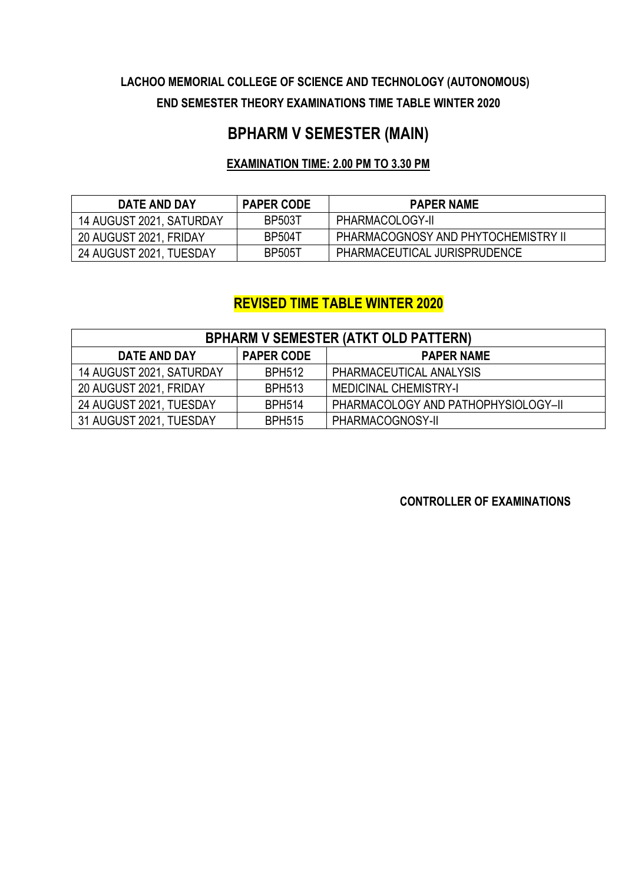## **LACHOO MEMORIAL COLLEGE OF SCIENCE AND TECHNOLOGY (AUTONOMOUS) END SEMESTER THEORY EXAMINATIONS TIME TABLE WINTER 2020**

# **BPHARM V SEMESTER (MAIN)**

#### **EXAMINATION TIME: 2.00 PM TO 3.30 PM**

| DATE AND DAY             | <b>PAPER CODE</b> | <b>PAPER NAME</b>                   |
|--------------------------|-------------------|-------------------------------------|
| 14 AUGUST 2021, SATURDAY | <b>BP503T</b>     | PHARMACOLOGY-II                     |
| 20 AUGUST 2021, FRIDAY   | <b>BP504T</b>     | PHARMACOGNOSY AND PHYTOCHEMISTRY II |
| 24 AUGUST 2021, TUESDAY  | <b>BP505T</b>     | PHARMACEUTICAL JURISPRUDENCE        |

### **REVISED TIME TABLE WINTER 2020**

| <b>BPHARM V SEMESTER (ATKT OLD PATTERN)</b>            |               |                                     |  |
|--------------------------------------------------------|---------------|-------------------------------------|--|
| <b>PAPER CODE</b><br>DATE AND DAY<br><b>PAPER NAME</b> |               |                                     |  |
| 14 AUGUST 2021, SATURDAY                               | <b>BPH512</b> | PHARMACEUTICAL ANALYSIS             |  |
| 20 AUGUST 2021, FRIDAY                                 | <b>BPH513</b> | <b>MEDICINAL CHEMISTRY-I</b>        |  |
| 24 AUGUST 2021, TUESDAY                                | <b>BPH514</b> | PHARMACOLOGY AND PATHOPHYSIOLOGY-II |  |
| 31 AUGUST 2021, TUESDAY                                | <b>BPH515</b> | PHARMACOGNOSY-II                    |  |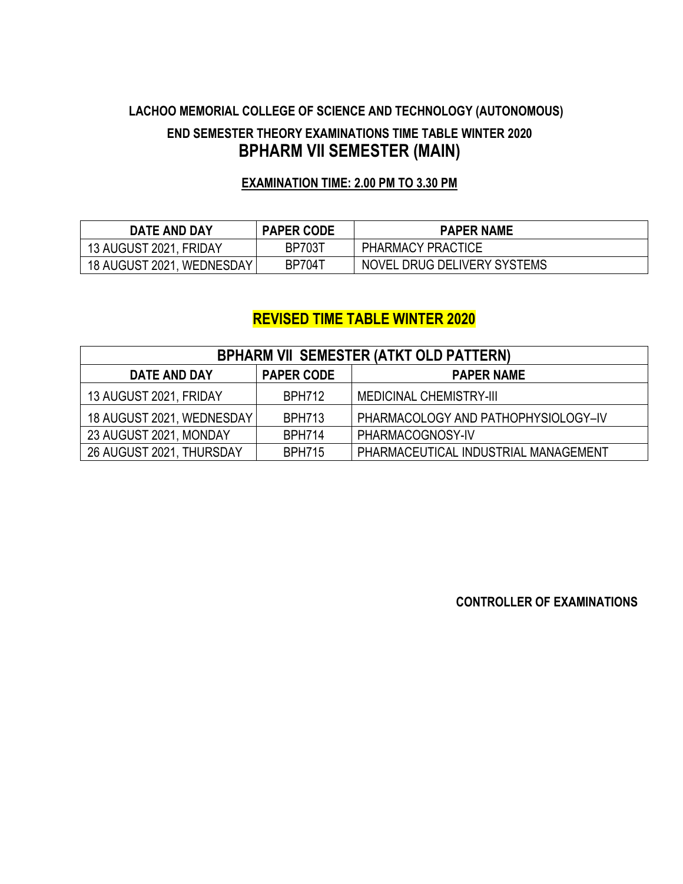## **LACHOO MEMORIAL COLLEGE OF SCIENCE AND TECHNOLOGY (AUTONOMOUS) END SEMESTER THEORY EXAMINATIONS TIME TABLE WINTER 2020 BPHARM VII SEMESTER (MAIN)**

#### **EXAMINATION TIME: 2.00 PM TO 3.30 PM**

| DATE AND DAY              | <b>PAPER CODE</b> | <b>PAPER NAME</b>           |
|---------------------------|-------------------|-----------------------------|
| 13 AUGUST 2021, FRIDAY    | <b>BP703T</b>     | PHARMACY PRACTICE           |
| 18 AUGUST 2021, WEDNESDAY | <b>BP704T</b>     | NOVEL DRUG DELIVERY SYSTEMS |

### **REVISED TIME TABLE WINTER 2020**

| <b>BPHARM VII SEMESTER (ATKT OLD PATTERN)</b>          |               |                                      |  |
|--------------------------------------------------------|---------------|--------------------------------------|--|
| <b>PAPER CODE</b><br>DATE AND DAY<br><b>PAPER NAME</b> |               |                                      |  |
| 13 AUGUST 2021, FRIDAY                                 | <b>BPH712</b> | <b>MEDICINAL CHEMISTRY-III</b>       |  |
| 18 AUGUST 2021, WEDNESDAY                              | <b>BPH713</b> | PHARMACOLOGY AND PATHOPHYSIOLOGY-IV  |  |
| 23 AUGUST 2021, MONDAY                                 | <b>BPH714</b> | PHARMACOGNOSY-IV                     |  |
| 26 AUGUST 2021, THURSDAY                               | <b>BPH715</b> | PHARMACEUTICAL INDUSTRIAL MANAGEMENT |  |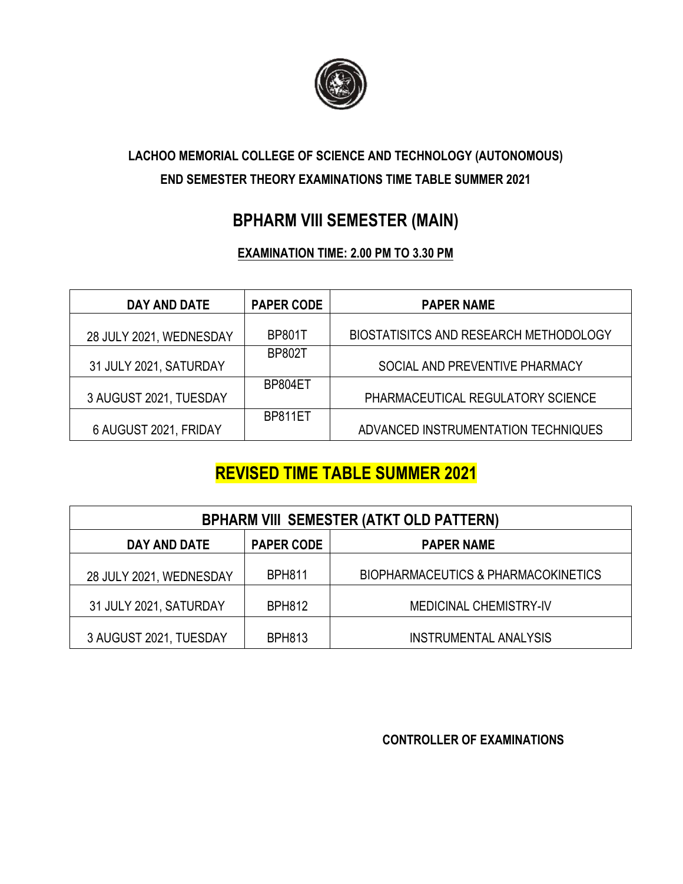

## **LACHOO MEMORIAL COLLEGE OF SCIENCE AND TECHNOLOGY (AUTONOMOUS) END SEMESTER THEORY EXAMINATIONS TIME TABLE SUMMER 2021**

## **BPHARM VIII SEMESTER (MAIN)**

### **EXAMINATION TIME: 2.00 PM TO 3.30 PM**

| DAY AND DATE            | <b>PAPER CODE</b> | <b>PAPER NAME</b>                      |
|-------------------------|-------------------|----------------------------------------|
| 28 JULY 2021, WEDNESDAY | <b>BP801T</b>     | BIOSTATISITCS AND RESEARCH METHODOLOGY |
| 31 JULY 2021, SATURDAY  | <b>BP802T</b>     | SOCIAL AND PREVENTIVE PHARMACY         |
| 3 AUGUST 2021, TUESDAY  | BP804ET           | PHARMACEUTICAL REGULATORY SCIENCE      |
| 6 AUGUST 2021, FRIDAY   | BP811ET           | ADVANCED INSTRUMENTATION TECHNIQUES    |

## **REVISED TIME TABLE SUMMER 2021**

| <b>BPHARM VIII SEMESTER (ATKT OLD PATTERN)</b>         |               |                                                |  |
|--------------------------------------------------------|---------------|------------------------------------------------|--|
| <b>PAPER CODE</b><br>DAY AND DATE<br><b>PAPER NAME</b> |               |                                                |  |
| 28 JULY 2021, WEDNESDAY                                | <b>BPH811</b> | <b>BIOPHARMACEUTICS &amp; PHARMACOKINETICS</b> |  |
| 31 JULY 2021, SATURDAY                                 | <b>BPH812</b> | <b>MEDICINAL CHEMISTRY-IV</b>                  |  |
| 3 AUGUST 2021, TUESDAY                                 | <b>BPH813</b> | <b>INSTRUMENTAL ANALYSIS</b>                   |  |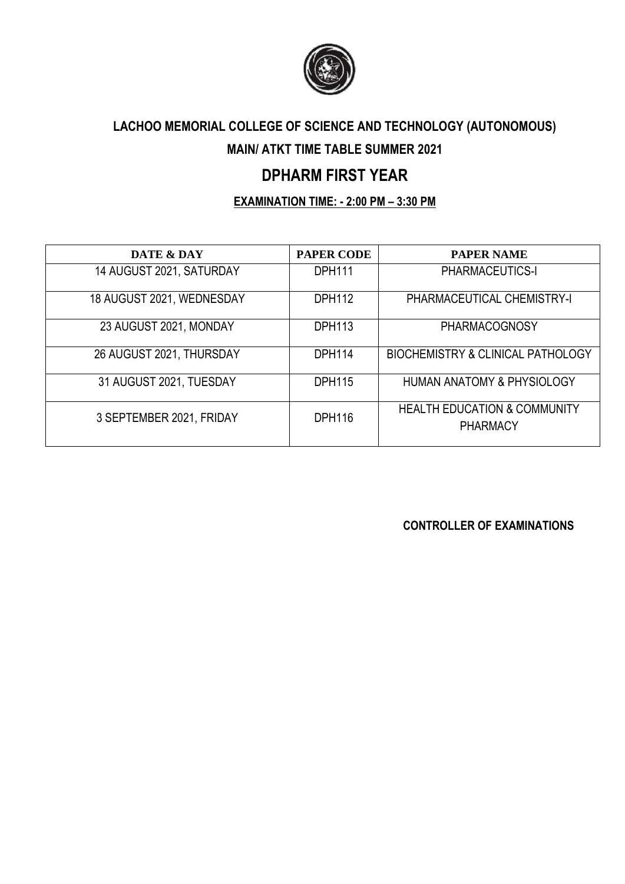

## **LACHOO MEMORIAL COLLEGE OF SCIENCE AND TECHNOLOGY (AUTONOMOUS)**

### **MAIN/ ATKT TIME TABLE SUMMER 2021**

## **DPHARM FIRST YEAR**

#### **EXAMINATION TIME: - 2:00 PM – 3:30 PM**

| DATE & DAY                | <b>PAPER CODE</b> | <b>PAPER NAME</b>                                          |
|---------------------------|-------------------|------------------------------------------------------------|
| 14 AUGUST 2021, SATURDAY  | <b>DPH111</b>     | <b>PHARMACEUTICS-I</b>                                     |
| 18 AUGUST 2021, WEDNESDAY | <b>DPH112</b>     | PHARMACEUTICAL CHEMISTRY-I                                 |
| 23 AUGUST 2021, MONDAY    | <b>DPH113</b>     | PHARMACOGNOSY                                              |
| 26 AUGUST 2021, THURSDAY  | <b>DPH114</b>     | <b>BIOCHEMISTRY &amp; CLINICAL PATHOLOGY</b>               |
| 31 AUGUST 2021, TUESDAY   | <b>DPH115</b>     | <b>HUMAN ANATOMY &amp; PHYSIOLOGY</b>                      |
| 3 SEPTEMBER 2021, FRIDAY  | <b>DPH116</b>     | <b>HEALTH EDUCATION &amp; COMMUNITY</b><br><b>PHARMACY</b> |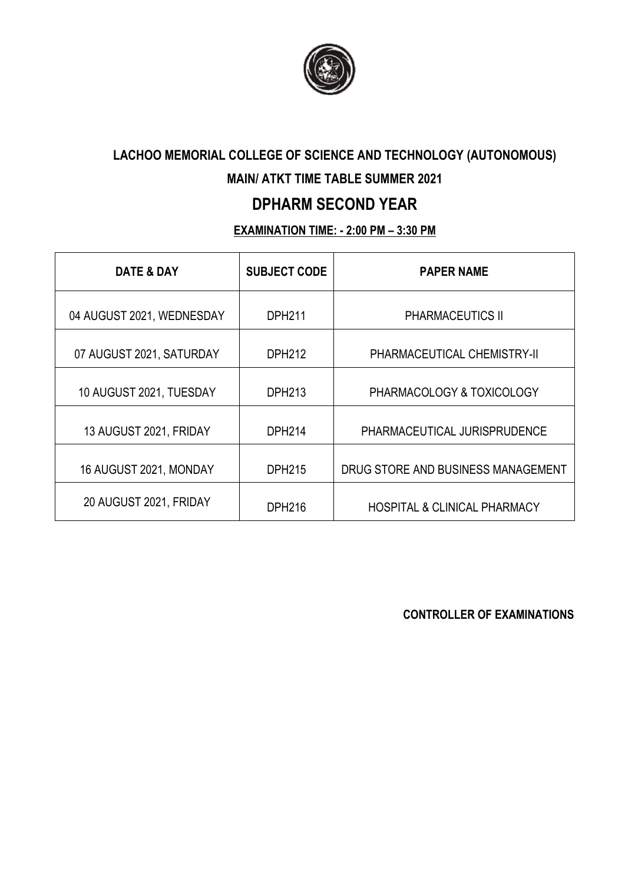

# **LACHOO MEMORIAL COLLEGE OF SCIENCE AND TECHNOLOGY (AUTONOMOUS)**

### **MAIN/ ATKT TIME TABLE SUMMER 2021**

## **DPHARM SECOND YEAR**

### **EXAMINATION TIME: - 2:00 PM – 3:30 PM**

| <b>DATE &amp; DAY</b>     | <b>SUBJECT CODE</b> | <b>PAPER NAME</b>                       |
|---------------------------|---------------------|-----------------------------------------|
| 04 AUGUST 2021, WEDNESDAY | <b>DPH211</b>       | <b>PHARMACEUTICS II</b>                 |
| 07 AUGUST 2021, SATURDAY  | <b>DPH212</b>       | PHARMACEUTICAL CHEMISTRY-II             |
| 10 AUGUST 2021, TUESDAY   | <b>DPH213</b>       | PHARMACOLOGY & TOXICOLOGY               |
| 13 AUGUST 2021, FRIDAY    | <b>DPH214</b>       | PHARMACEUTICAL JURISPRUDENCE            |
| 16 AUGUST 2021, MONDAY    | <b>DPH215</b>       | DRUG STORE AND BUSINESS MANAGEMENT      |
| 20 AUGUST 2021, FRIDAY    | DPH216              | <b>HOSPITAL &amp; CLINICAL PHARMACY</b> |